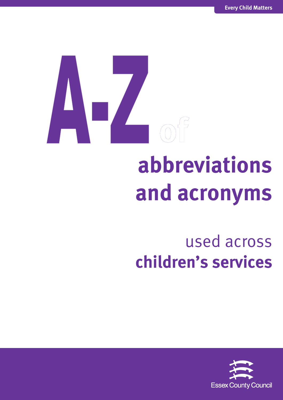## **abbreviations and acronyms**

## used across **children's services**

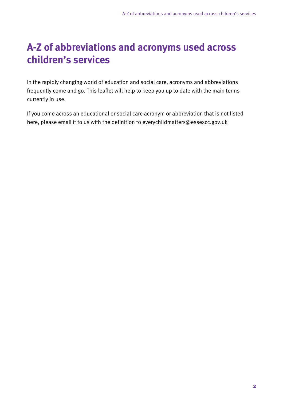## **A-Z of abbreviations and acronyms used across children's services**

In the rapidly changing world of education and social care, acronyms and abbreviations frequently come and go. This leaflet will help to keep you up to date with the main terms currently in use.

If you come across an educational or social care acronym or abbreviation that is not listed here, please email it to us with the definition to [everychildmatters@essexcc.gov.uk](mailto:everychildmatters@essexcc.gov.uk)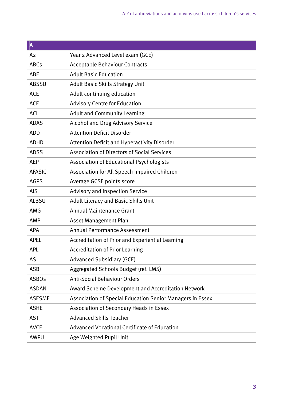| $\mathbf{A}$   |                                                                  |
|----------------|------------------------------------------------------------------|
| A <sub>2</sub> | Year 2 Advanced Level exam (GCE)                                 |
| <b>ABCs</b>    | <b>Acceptable Behaviour Contracts</b>                            |
| <b>ABE</b>     | <b>Adult Basic Education</b>                                     |
| <b>ABSSU</b>   | <b>Adult Basic Skills Strategy Unit</b>                          |
| <b>ACE</b>     | Adult continuing education                                       |
| <b>ACE</b>     | <b>Advisory Centre for Education</b>                             |
| <b>ACL</b>     | <b>Adult and Community Learning</b>                              |
| <b>ADAS</b>    | <b>Alcohol and Drug Advisory Service</b>                         |
| <b>ADD</b>     | <b>Attention Deficit Disorder</b>                                |
| <b>ADHD</b>    | Attention Deficit and Hyperactivity Disorder                     |
| <b>ADSS</b>    | <b>Association of Directors of Social Services</b>               |
| <b>AEP</b>     | Association of Educational Psychologists                         |
| <b>AFASIC</b>  | Association for All Speech Impaired Children                     |
| <b>AGPS</b>    | Average GCSE points score                                        |
| <b>AIS</b>     | <b>Advisory and Inspection Service</b>                           |
| <b>ALBSU</b>   | Adult Literacy and Basic Skills Unit                             |
| AMG            | <b>Annual Maintenance Grant</b>                                  |
| AMP            | Asset Management Plan                                            |
| <b>APA</b>     | <b>Annual Performance Assessment</b>                             |
| <b>APEL</b>    | Accreditation of Prior and Experiential Learning                 |
| <b>APL</b>     | <b>Accreditation of Prior Learning</b>                           |
| <b>AS</b>      | <b>Advanced Subsidiary (GCE)</b>                                 |
| <b>ASB</b>     | Aggregated Schools Budget (ref. LMS)                             |
| <b>ASBOs</b>   | <b>Anti-Social Behaviour Orders</b>                              |
| <b>ASDAN</b>   | Award Scheme Development and Accreditation Network               |
| <b>ASESME</b>  | <b>Association of Special Education Senior Managers in Essex</b> |
| <b>ASHE</b>    | Association of Secondary Heads in Essex                          |
| <b>AST</b>     | <b>Advanced Skills Teacher</b>                                   |
| <b>AVCE</b>    | <b>Advanced Vocational Certificate of Education</b>              |
| <b>AWPU</b>    | Age Weighted Pupil Unit                                          |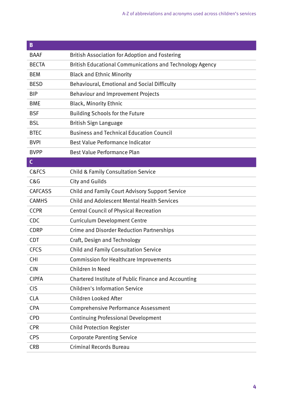| B              |                                                                 |
|----------------|-----------------------------------------------------------------|
| <b>BAAF</b>    | <b>British Association for Adoption and Fostering</b>           |
| <b>BECTA</b>   | <b>British Educational Communications and Technology Agency</b> |
| <b>BEM</b>     | <b>Black and Ethnic Minority</b>                                |
| <b>BESD</b>    | Behavioural, Emotional and Social Difficulty                    |
| <b>BIP</b>     | <b>Behaviour and Improvement Projects</b>                       |
| <b>BME</b>     | <b>Black, Minority Ethnic</b>                                   |
| <b>BSF</b>     | <b>Building Schools for the Future</b>                          |
| <b>BSL</b>     | British Sign Language                                           |
| <b>BTEC</b>    | <b>Business and Technical Education Council</b>                 |
| <b>BVPI</b>    | Best Value Performance Indicator                                |
| <b>BVPP</b>    | Best Value Performance Plan                                     |
| $\mathsf{C}$   |                                                                 |
| C&FCS          | <b>Child &amp; Family Consultation Service</b>                  |
| C&G            | <b>City and Guilds</b>                                          |
| <b>CAFCASS</b> | <b>Child and Family Court Advisory Support Service</b>          |
| <b>CAMHS</b>   | <b>Child and Adolescent Mental Health Services</b>              |
| <b>CCPR</b>    | <b>Central Council of Physical Recreation</b>                   |
| <b>CDC</b>     | <b>Curriculum Development Centre</b>                            |
| <b>CDRP</b>    | <b>Crime and Disorder Reduction Partnerships</b>                |
| <b>CDT</b>     | Craft, Design and Technology                                    |
| <b>CFCS</b>    | <b>Child and Family Consultation Service</b>                    |
| <b>CHI</b>     | <b>Commission for Healthcare Improvements</b>                   |
| <b>CIN</b>     | Children In Need                                                |
| <b>CIPFA</b>   | Chartered Institute of Public Finance and Accounting            |
| <b>CIS</b>     | <b>Children's Information Service</b>                           |
| <b>CLA</b>     | Children Looked After                                           |
| <b>CPA</b>     | <b>Comprehensive Performance Assessment</b>                     |
| <b>CPD</b>     | <b>Continuing Professional Development</b>                      |
| <b>CPR</b>     | <b>Child Protection Register</b>                                |
| <b>CPS</b>     | <b>Corporate Parenting Service</b>                              |
| <b>CRB</b>     | <b>Criminal Records Bureau</b>                                  |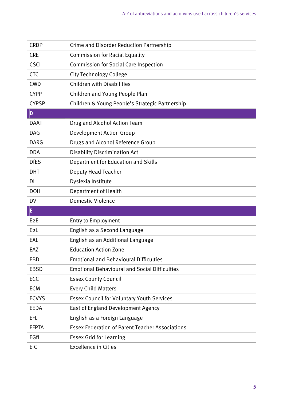| <b>CRDP</b>  | <b>Crime and Disorder Reduction Partnership</b>        |
|--------------|--------------------------------------------------------|
| <b>CRE</b>   | <b>Commission for Racial Equality</b>                  |
| <b>CSCI</b>  | <b>Commission for Social Care Inspection</b>           |
| <b>CTC</b>   | <b>City Technology College</b>                         |
| <b>CWD</b>   | <b>Children with Disabilities</b>                      |
| <b>CYPP</b>  | Children and Young People Plan                         |
| <b>CYPSP</b> | Children & Young People's Strategic Partnership        |
| D            |                                                        |
| <b>DAAT</b>  | Drug and Alcohol Action Team                           |
| <b>DAG</b>   | <b>Development Action Group</b>                        |
| <b>DARG</b>  | Drugs and Alcohol Reference Group                      |
| <b>DDA</b>   | <b>Disability Discrimination Act</b>                   |
| <b>DfES</b>  | Department for Education and Skills                    |
| <b>DHT</b>   | <b>Deputy Head Teacher</b>                             |
| DI           | Dyslexia Institute                                     |
| <b>DOH</b>   | Department of Health                                   |
|              |                                                        |
| DV           | <b>Domestic Violence</b>                               |
| E            |                                                        |
| E2E          | <b>Entry to Employment</b>                             |
| E2L          | English as a Second Language                           |
| EAL          | English as an Additional Language                      |
| EAZ          | <b>Education Action Zone</b>                           |
| EBD          | <b>Emotional and Behavioural Difficulties</b>          |
| <b>EBSD</b>  | <b>Emotional Behavioural and Social Difficulties</b>   |
| ECC          | <b>Essex County Council</b>                            |
| <b>ECM</b>   | <b>Every Child Matters</b>                             |
| <b>ECVYS</b> | <b>Essex Council for Voluntary Youth Services</b>      |
| <b>EEDA</b>  | East of England Development Agency                     |
| EFL          | English as a Foreign Language                          |
| <b>EFPTA</b> | <b>Essex Federation of Parent Teacher Associations</b> |
| EGfL         | <b>Essex Grid for Learning</b>                         |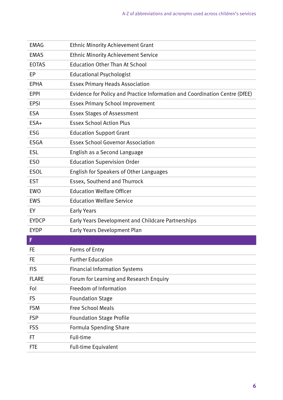| <b>EMAG</b>  | <b>Ethnic Minority Achievement Grant</b>                                    |
|--------------|-----------------------------------------------------------------------------|
| <b>EMAS</b>  | <b>Ethnic Minority Achievement Service</b>                                  |
| <b>EOTAS</b> | <b>Education Other Than At School</b>                                       |
| EP           | <b>Educational Psychologist</b>                                             |
| <b>EPHA</b>  | <b>Essex Primary Heads Association</b>                                      |
| <b>EPPI</b>  | Evidence for Policy and Practice Information and Coordination Centre (DfEE) |
| <b>EPSI</b>  | <b>Essex Primary School Improvement</b>                                     |
| <b>ESA</b>   | <b>Essex Stages of Assessment</b>                                           |
| ESA+         | <b>Essex School Action Plus</b>                                             |
| <b>ESG</b>   | <b>Education Support Grant</b>                                              |
| <b>ESGA</b>  | <b>Essex School Governor Association</b>                                    |
| <b>ESL</b>   | English as a Second Language                                                |
| <b>ESO</b>   | <b>Education Supervision Order</b>                                          |
| <b>ESOL</b>  | English for Speakers of Other Languages                                     |
| <b>EST</b>   | Essex, Southend and Thurrock                                                |
| <b>EWO</b>   | <b>Education Welfare Officer</b>                                            |
| <b>EWS</b>   | <b>Education Welfare Service</b>                                            |
| EY           | <b>Early Years</b>                                                          |
| <b>EYDCP</b> | Early Years Development and Childcare Partnerships                          |
| <b>EYDP</b>  | <b>Early Years Development Plan</b>                                         |
| F            |                                                                             |
| FE           | Forms of Entry                                                              |
| FE           | <b>Further Education</b>                                                    |
| <b>FIS</b>   | <b>Financial Information Systems</b>                                        |
| <b>FLARE</b> | Forum for Learning and Research Enquiry                                     |
| Fol          | Freedom of Information                                                      |
| <b>FS</b>    | <b>Foundation Stage</b>                                                     |
| <b>FSM</b>   | <b>Free School Meals</b>                                                    |
| <b>FSP</b>   | <b>Foundation Stage Profile</b>                                             |
| <b>FSS</b>   | <b>Formula Spending Share</b>                                               |
| FT           | Full-time                                                                   |
| <b>FTE</b>   | <b>Full-time Equivalent</b>                                                 |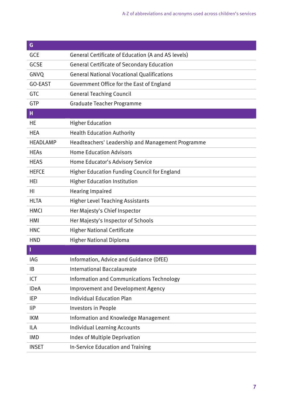| G               |                                                    |
|-----------------|----------------------------------------------------|
| <b>GCE</b>      | General Certificate of Education (A and AS levels) |
| <b>GCSE</b>     | <b>General Certificate of Secondary Education</b>  |
| GNVQ            | <b>General National Vocational Qualifications</b>  |
| GO-EAST         | Government Office for the East of England          |
| GTC             | <b>General Teaching Council</b>                    |
| GTP             | <b>Graduate Teacher Programme</b>                  |
| н               |                                                    |
| НE              | <b>Higher Education</b>                            |
| <b>HEA</b>      | <b>Health Education Authority</b>                  |
| <b>HEADLAMP</b> | Headteachers' Leadership and Management Programme  |
| <b>HEAs</b>     | <b>Home Education Advisors</b>                     |
| <b>HEAS</b>     | Home Educator's Advisory Service                   |
| <b>HEFCE</b>    | Higher Education Funding Council for England       |
| HEI             | <b>Higher Education Institution</b>                |
| HI              | <b>Hearing Impaired</b>                            |
| <b>HLTA</b>     | <b>Higher Level Teaching Assistants</b>            |
| <b>HMCI</b>     | Her Majesty's Chief Inspector                      |
| HMI             | Her Majesty's Inspector of Schools                 |
| <b>HNC</b>      | <b>Higher National Certificate</b>                 |
| <b>HND</b>      | <b>Higher National Diploma</b>                     |
|                 |                                                    |
| IAG             | Information, Advice and Guidance (DfEE)            |
| ΙB              | <b>International Baccalaureate</b>                 |
| ICT             | Information and Communications Technology          |
| <b>IDeA</b>     | Improvement and Development Agency                 |
| <b>IEP</b>      | <b>Individual Education Plan</b>                   |
| <b>liP</b>      | Investors in People                                |
| <b>IKM</b>      | Information and Knowledge Management               |
| ILA             | <b>Individual Learning Accounts</b>                |
| <b>IMD</b>      | Index of Multiple Deprivation                      |
| <b>INSET</b>    | In-Service Education and Training                  |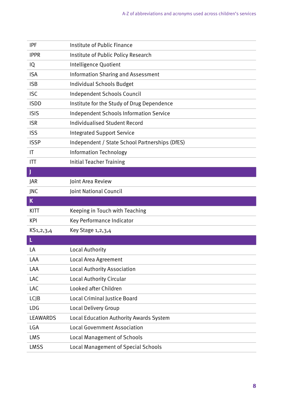| <b>IPF</b>             | Institute of Public Finance                    |
|------------------------|------------------------------------------------|
| <b>IPPR</b>            | Institute of Public Policy Research            |
| IQ                     | Intelligence Quotient                          |
| <b>ISA</b>             | <b>Information Sharing and Assessment</b>      |
| <b>ISB</b>             | <b>Individual Schools Budget</b>               |
| <b>ISC</b>             | Independent Schools Council                    |
| <b>ISDD</b>            | Institute for the Study of Drug Dependence     |
| <b>ISIS</b>            | <b>Independent Schools Information Service</b> |
| <b>ISR</b>             | <b>Individualised Student Record</b>           |
| <b>ISS</b>             | <b>Integrated Support Service</b>              |
| <b>ISSP</b>            | Independent / State School Partnerships (DfES) |
| $\mathsf{I}\mathsf{T}$ | <b>Information Technology</b>                  |
| ITT                    | <b>Initial Teacher Training</b>                |
| J                      |                                                |
| <b>JAR</b>             | Joint Area Review                              |
| JNC                    | Joint National Council                         |
| $\mathbf K$            |                                                |
| KITT                   | Keeping in Touch with Teaching                 |
| <b>KPI</b>             | Key Performance Indicator                      |
| KS <sub>1,2,3,4</sub>  | Key Stage 1, 2, 3, 4                           |
|                        |                                                |
| LA                     | <b>Local Authority</b>                         |
| LAA                    | Local Area Agreement                           |
| LAA                    | <b>Local Authority Association</b>             |
| LAC                    | Local Authority Circular                       |
| LAC                    | Looked after Children                          |
| <b>LCJB</b>            | <b>Local Criminal Justice Board</b>            |
| LDG                    | <b>Local Delivery Group</b>                    |
| <b>LEAWARDS</b>        |                                                |
|                        | <b>Local Education Authority Awards System</b> |
| LGA                    | <b>Local Government Association</b>            |
| <b>LMS</b>             | <b>Local Management of Schools</b>             |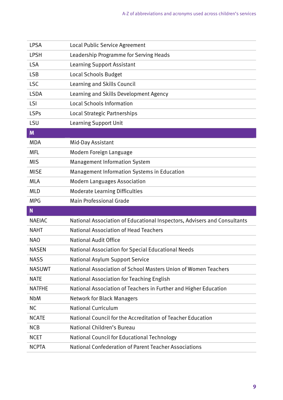| <b>LPSA</b>   | Local Public Service Agreement                                           |
|---------------|--------------------------------------------------------------------------|
| <b>LPSH</b>   | Leadership Programme for Serving Heads                                   |
| <b>LSA</b>    | <b>Learning Support Assistant</b>                                        |
| <b>LSB</b>    | Local Schools Budget                                                     |
| <b>LSC</b>    | Learning and Skills Council                                              |
| <b>LSDA</b>   | Learning and Skills Development Agency                                   |
| LSI           | <b>Local Schools Information</b>                                         |
| <b>LSPs</b>   | Local Strategic Partnerships                                             |
| LSU           | <b>Learning Support Unit</b>                                             |
| M             |                                                                          |
| <b>MDA</b>    | Mid-Day Assistant                                                        |
| <b>MFL</b>    | Modern Foreign Language                                                  |
| <b>MIS</b>    | <b>Management Information System</b>                                     |
| <b>MISE</b>   | <b>Management Information Systems in Education</b>                       |
| <b>MLA</b>    | <b>Modern Languages Association</b>                                      |
| <b>MLD</b>    | <b>Moderate Learning Difficulties</b>                                    |
|               |                                                                          |
| <b>MPG</b>    | <b>Main Professional Grade</b>                                           |
| $\mathbf N$   |                                                                          |
| <b>NAEIAC</b> | National Association of Educational Inspectors, Advisers and Consultants |
| <b>NAHT</b>   | <b>National Association of Head Teachers</b>                             |
| <b>NAO</b>    | <b>National Audit Office</b>                                             |
| <b>NASEN</b>  | National Association for Special Educational Needs                       |
| <b>NASS</b>   | National Asylum Support Service                                          |
| <b>NASUWT</b> | National Association of School Masters Union of Women Teachers           |
| <b>NATE</b>   | National Association for Teaching English                                |
| <b>NATFHE</b> | National Association of Teachers in Further and Higher Education         |
| <b>NbM</b>    | <b>Network for Black Managers</b>                                        |
| <b>NC</b>     | <b>National Curriculum</b>                                               |
| <b>NCATE</b>  | National Council for the Accreditation of Teacher Education              |
| <b>NCB</b>    | National Children's Bureau                                               |
| <b>NCET</b>   | National Council for Educational Technology                              |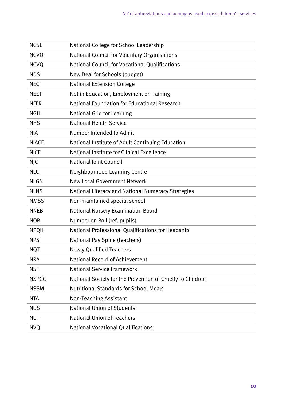| <b>NCSL</b>  | National College for School Leadership                     |
|--------------|------------------------------------------------------------|
| <b>NCVO</b>  | National Council for Voluntary Organisations               |
| <b>NCVQ</b>  | National Council for Vocational Qualifications             |
| <b>NDS</b>   | New Deal for Schools (budget)                              |
| <b>NEC</b>   | <b>National Extension College</b>                          |
| <b>NEET</b>  | Not in Education, Employment or Training                   |
| <b>NFER</b>  | National Foundation for Educational Research               |
| <b>NGfL</b>  | <b>National Grid for Learning</b>                          |
| <b>NHS</b>   | <b>National Health Service</b>                             |
| <b>NIA</b>   | Number Intended to Admit                                   |
| <b>NIACE</b> | National Institute of Adult Continuing Education           |
| <b>NICE</b>  | National Institute for Clinical Excellence                 |
| <b>NJC</b>   | <b>National Joint Council</b>                              |
| <b>NLC</b>   | Neighbourhood Learning Centre                              |
| <b>NLGN</b>  | <b>New Local Government Network</b>                        |
| <b>NLNS</b>  | National Literacy and National Numeracy Strategies         |
| <b>NMSS</b>  | Non-maintained special school                              |
| <b>NNEB</b>  | National Nursery Examination Board                         |
| <b>NOR</b>   | Number on Roll (ref. pupils)                               |
| <b>NPQH</b>  | National Professional Qualifications for Headship          |
| <b>NPS</b>   | National Pay Spine (teachers)                              |
| <b>NQT</b>   | <b>Newly Qualified Teachers</b>                            |
| <b>NRA</b>   | <b>National Record of Achievement</b>                      |
| <b>NSF</b>   | <b>National Service Framework</b>                          |
| <b>NSPCC</b> | National Society for the Prevention of Cruelty to Children |
| <b>NSSM</b>  | <b>Nutritional Standards for School Meals</b>              |
| <b>NTA</b>   | <b>Non-Teaching Assistant</b>                              |
| <b>NUS</b>   | <b>National Union of Students</b>                          |
| <b>NUT</b>   | <b>National Union of Teachers</b>                          |
| <b>NVQ</b>   | <b>National Vocational Qualifications</b>                  |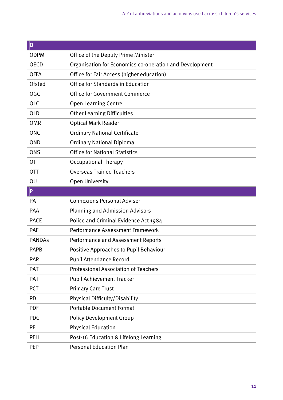| $\mathbf{o}$  |                                                         |
|---------------|---------------------------------------------------------|
| <b>ODPM</b>   | Office of the Deputy Prime Minister                     |
| <b>OECD</b>   | Organisation for Economics co-operation and Development |
| <b>OFFA</b>   | Office for Fair Access (higher education)               |
| <b>Ofsted</b> | Office for Standards in Education                       |
| <b>OGC</b>    | <b>Office for Government Commerce</b>                   |
| <b>OLC</b>    | <b>Open Learning Centre</b>                             |
| <b>OLD</b>    | <b>Other Learning Difficulties</b>                      |
| <b>OMR</b>    | <b>Optical Mark Reader</b>                              |
| <b>ONC</b>    | <b>Ordinary National Certificate</b>                    |
| <b>OND</b>    | <b>Ordinary National Diploma</b>                        |
| <b>ONS</b>    | <b>Office for National Statistics</b>                   |
| <b>OT</b>     | <b>Occupational Therapy</b>                             |
| 0TT           | <b>Overseas Trained Teachers</b>                        |
| OU            | <b>Open University</b>                                  |
| P             |                                                         |
| PA            | <b>Connexions Personal Adviser</b>                      |
| PAA           | <b>Planning and Admission Advisors</b>                  |
| <b>PACE</b>   | Police and Criminal Evidence Act 1984                   |
| PAF           | <b>Performance Assessment Framework</b>                 |
| <b>PANDAs</b> | Performance and Assessment Reports                      |
| <b>PAPB</b>   | Positive Approaches to Pupil Behaviour                  |
| <b>PAR</b>    | <b>Pupil Attendance Record</b>                          |
| PAT           | <b>Professional Association of Teachers</b>             |
| PAT           | <b>Pupil Achievement Tracker</b>                        |
| <b>PCT</b>    | <b>Primary Care Trust</b>                               |
| <b>PD</b>     | Physical Difficulty/Disability                          |
| <b>PDF</b>    | <b>Portable Document Format</b>                         |
| <b>PDG</b>    | <b>Policy Development Group</b>                         |
| <b>PE</b>     | <b>Physical Education</b>                               |
| <b>PELL</b>   | Post-16 Education & Lifelong Learning                   |
| <b>PEP</b>    | <b>Personal Education Plan</b>                          |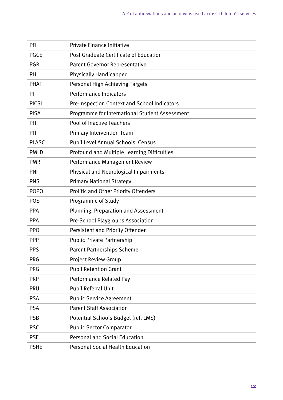| PFI          | Private Finance Initiative                     |
|--------------|------------------------------------------------|
| <b>PGCE</b>  | Post Graduate Certificate of Education         |
| <b>PGR</b>   | <b>Parent Governor Representative</b>          |
| PH           | <b>Physically Handicapped</b>                  |
| <b>PHAT</b>  | Personal High Achieving Targets                |
| PI           | Performance Indicators                         |
| <b>PICSI</b> | Pre-Inspection Context and School Indicators   |
| <b>PISA</b>  | Programme for International Student Assessment |
| <b>PIT</b>   | <b>Pool of Inactive Teachers</b>               |
| PIT          | <b>Primary Intervention Team</b>               |
| <b>PLASC</b> | Pupil Level Annual Schools' Census             |
| <b>PMLD</b>  | Profound and Multiple Learning Difficulties    |
| <b>PMR</b>   | Performance Management Review                  |
| PNI          | Physical and Neurological Impairments          |
| <b>PNS</b>   | <b>Primary National Strategy</b>               |
| <b>POPO</b>  | Prolific and Other Priority Offenders          |
| <b>POS</b>   | Programme of Study                             |
|              |                                                |
| <b>PPA</b>   | Planning, Preparation and Assessment           |
| <b>PPA</b>   | Pre-School Playgroups Association              |
| <b>PPO</b>   | Persistent and Priority Offender               |
| <b>PPP</b>   | <b>Public Private Partnership</b>              |
| <b>PPS</b>   | <b>Parent Partnerships Scheme</b>              |
| <b>PRG</b>   | <b>Project Review Group</b>                    |
| <b>PRG</b>   | <b>Pupil Retention Grant</b>                   |
| <b>PRP</b>   | Performance Related Pay                        |
| <b>PRU</b>   | Pupil Referral Unit                            |
| <b>PSA</b>   | <b>Public Service Agreement</b>                |
| <b>PSA</b>   | <b>Parent Staff Association</b>                |
| <b>PSB</b>   | Potential Schools Budget (ref. LMS)            |
| <b>PSC</b>   | <b>Public Sector Comparator</b>                |
| <b>PSE</b>   | <b>Personal and Social Education</b>           |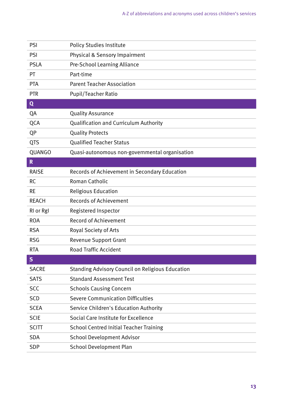| PSI          | <b>Policy Studies Institute</b>                         |
|--------------|---------------------------------------------------------|
| <b>PSI</b>   | Physical & Sensory Impairment                           |
| <b>PSLA</b>  | Pre-School Learning Alliance                            |
| <b>PT</b>    | Part-time                                               |
| <b>PTA</b>   | <b>Parent Teacher Association</b>                       |
| <b>PTR</b>   | <b>Pupil/Teacher Ratio</b>                              |
| Q            |                                                         |
| QA           | <b>Quality Assurance</b>                                |
| QCA          | <b>Qualification and Curriculum Authority</b>           |
| QP           | <b>Quality Protects</b>                                 |
| <b>QTS</b>   | <b>Qualified Teacher Status</b>                         |
| QUANGO       | Quasi-autonomous non-governmental organisation          |
| $\mathbf R$  |                                                         |
| <b>RAISE</b> | Records of Achievement in Secondary Education           |
| <b>RC</b>    | Roman Catholic                                          |
| <b>RE</b>    | <b>Religious Education</b>                              |
| <b>REACH</b> | <b>Records of Achievement</b>                           |
| RI or RgI    | Registered Inspector                                    |
| <b>ROA</b>   | <b>Record of Achievement</b>                            |
| <b>RSA</b>   | Royal Society of Arts                                   |
| <b>RSG</b>   | <b>Revenue Support Grant</b>                            |
| <b>RTA</b>   | <b>Road Traffic Accident</b>                            |
| $\mathsf{S}$ |                                                         |
| <b>SACRE</b> | <b>Standing Advisory Council on Religious Education</b> |
| <b>SATS</b>  | <b>Standard Assessment Test</b>                         |
| <b>SCC</b>   | <b>Schools Causing Concern</b>                          |
| <b>SCD</b>   | <b>Severe Communication Difficulties</b>                |
| <b>SCEA</b>  | Service Children's Education Authority                  |
| <b>SCIE</b>  | Social Care Institute for Excellence                    |
| <b>SCITT</b> | <b>School Centred Initial Teacher Training</b>          |
| <b>SDA</b>   | <b>School Development Advisor</b>                       |
| <b>SDP</b>   | <b>School Development Plan</b>                          |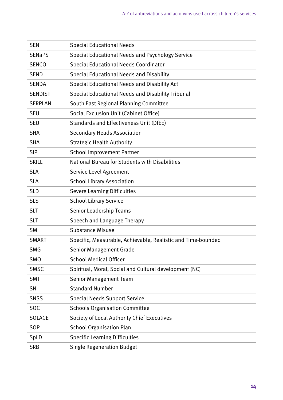| <b>SEN</b>     | <b>Special Educational Needs</b>                             |
|----------------|--------------------------------------------------------------|
| <b>SENaPS</b>  | <b>Special Educational Needs and Psychology Service</b>      |
| <b>SENCO</b>   | <b>Special Educational Needs Coordinator</b>                 |
| <b>SEND</b>    | <b>Special Educational Needs and Disability</b>              |
| <b>SENDA</b>   | Special Educational Needs and Disability Act                 |
| <b>SENDIST</b> | Special Educational Needs and Disability Tribunal            |
| <b>SERPLAN</b> | South East Regional Planning Committee                       |
| <b>SEU</b>     | Social Exclusion Unit (Cabinet Office)                       |
| <b>SEU</b>     | Standards and Effectiveness Unit (DfEE)                      |
| <b>SHA</b>     | <b>Secondary Heads Association</b>                           |
| <b>SHA</b>     | <b>Strategic Health Authority</b>                            |
| <b>SIP</b>     | <b>School Improvement Partner</b>                            |
| <b>SKILL</b>   | National Bureau for Students with Disabilities               |
| <b>SLA</b>     | Service Level Agreement                                      |
| <b>SLA</b>     | <b>School Library Association</b>                            |
| <b>SLD</b>     | <b>Severe Learning Difficulties</b>                          |
| <b>SLS</b>     | <b>School Library Service</b>                                |
| <b>SLT</b>     | <b>Senior Leadership Teams</b>                               |
| <b>SLT</b>     | Speech and Language Therapy                                  |
| <b>SM</b>      | <b>Substance Misuse</b>                                      |
| <b>SMART</b>   | Specific, Measurable, Achievable, Realistic and Time-bounded |
| <b>SMG</b>     | <b>Senior Management Grade</b>                               |
| SMO            | <b>School Medical Officer</b>                                |
| SMSC           | Spiritual, Moral, Social and Cultural development (NC)       |
| <b>SMT</b>     | <b>Senior Management Team</b>                                |
| SN             | <b>Standard Number</b>                                       |
| <b>SNSS</b>    | <b>Special Needs Support Service</b>                         |
| <b>SOC</b>     | <b>Schools Organisation Committee</b>                        |
| <b>SOLACE</b>  | Society of Local Authority Chief Executives                  |
| SOP            | <b>School Organisation Plan</b>                              |
| SpLD           | <b>Specific Learning Difficulties</b>                        |
| <b>SRB</b>     | <b>Single Regeneration Budget</b>                            |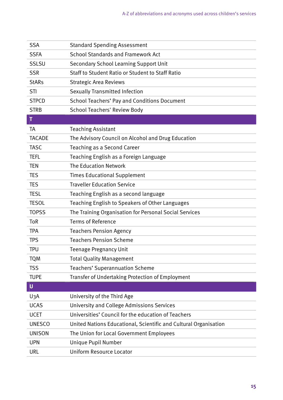| <b>SSA</b>    | <b>Standard Spending Assessment</b>                              |
|---------------|------------------------------------------------------------------|
| <b>SSFA</b>   | <b>School Standards and Framework Act</b>                        |
| <b>SSLSU</b>  | <b>Secondary School Learning Support Unit</b>                    |
| <b>SSR</b>    | Staff to Student Ratio or Student to Staff Ratio                 |
| <b>StARs</b>  | <b>Strategic Area Reviews</b>                                    |
| STI           | <b>Sexually Transmitted Infection</b>                            |
| <b>STPCD</b>  | <b>School Teachers' Pay and Conditions Document</b>              |
| <b>STRB</b>   | <b>School Teachers' Review Body</b>                              |
| T             |                                                                  |
| TA            | <b>Teaching Assistant</b>                                        |
| <b>TACADE</b> | The Advisory Council on Alcohol and Drug Education               |
| <b>TASC</b>   | Teaching as a Second Career                                      |
| <b>TEFL</b>   | Teaching English as a Foreign Language                           |
| <b>TEN</b>    | The Education Network                                            |
| <b>TES</b>    | <b>Times Educational Supplement</b>                              |
| <b>TES</b>    | <b>Traveller Education Service</b>                               |
| <b>TESL</b>   | Teaching English as a second language                            |
| <b>TESOL</b>  | Teaching English to Speakers of Other Languages                  |
| <b>TOPSS</b>  | The Training Organisation for Personal Social Services           |
| ToR           | <b>Terms of Reference</b>                                        |
| <b>TPA</b>    | <b>Teachers Pension Agency</b>                                   |
| <b>TPS</b>    | <b>Teachers Pension Scheme</b>                                   |
| <b>TPU</b>    | <b>Teenage Pregnancy Unit</b>                                    |
| <b>TQM</b>    | <b>Total Quality Management</b>                                  |
| <b>TSS</b>    | <b>Teachers' Superannuation Scheme</b>                           |
| <b>TUPE</b>   | <b>Transfer of Undertaking Protection of Employment</b>          |
| U             |                                                                  |
| U3A           | University of the Third Age                                      |
| <b>UCAS</b>   | University and College Admissions Services                       |
| <b>UCET</b>   | Universities' Council for the education of Teachers              |
| <b>UNESCO</b> | United Nations Educational, Scientific and Cultural Organisation |
| <b>UNISON</b> | The Union for Local Government Employees                         |
| <b>UPN</b>    | Unique Pupil Number                                              |
| <b>URL</b>    | <b>Uniform Resource Locator</b>                                  |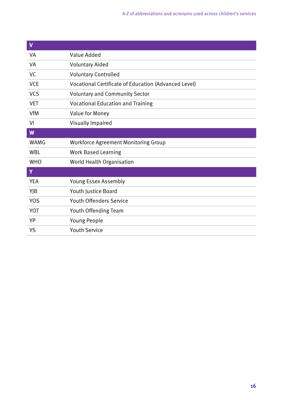| $\mathbf v$ |                                                      |
|-------------|------------------------------------------------------|
| VA          | Value Added                                          |
| VA          | <b>Voluntary Aided</b>                               |
| VC          | <b>Voluntary Controlled</b>                          |
| <b>VCE</b>  | Vocational Certificate of Education (Advanced Level) |
| <b>VCS</b>  | <b>Voluntary and Community Sector</b>                |
| <b>VET</b>  | <b>Vocational Education and Training</b>             |
| <b>VfM</b>  | Value for Money                                      |
| VI          | <b>Visually Impaired</b>                             |
| W           |                                                      |
|             |                                                      |
| WAMG        | <b>Workforce Agreement Monitoring Group</b>          |
| <b>WBL</b>  | <b>Work Based Learning</b>                           |
| <b>WHO</b>  | World Health Organisation                            |
| Y           |                                                      |
| <b>YEA</b>  | <b>Young Essex Assembly</b>                          |
| YJB         | <b>Youth Justice Board</b>                           |
| <b>YOS</b>  | <b>Youth Offenders Service</b>                       |
| <b>YOT</b>  | Youth Offending Team                                 |
| YP          | <b>Young People</b>                                  |